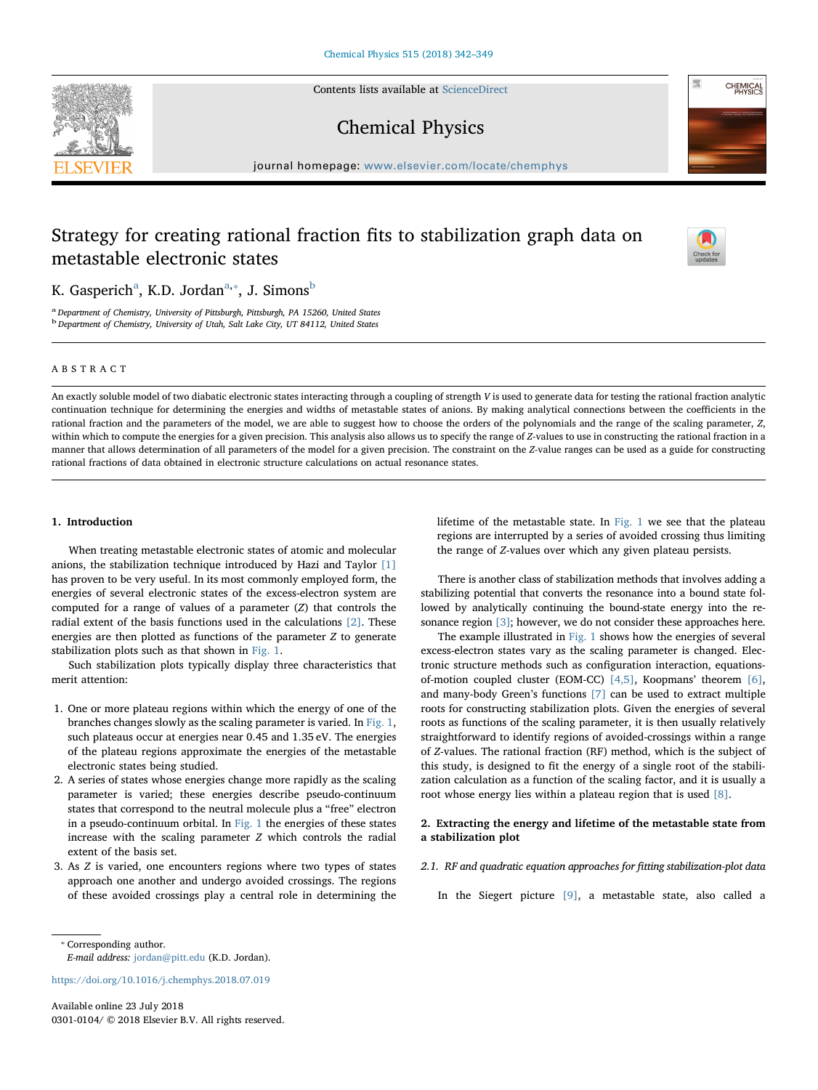Contents lists available at [ScienceDirect](http://www.sciencedirect.com/science/journal/03010104)





Chemical Physics

journal homepage: [www.elsevier.com/locate/chemphys](https://www.elsevier.com/locate/chemphys)

# Strategy for creating rational fraction fits to stabilization graph data on metastable electronic states



K. G[a](#page-0-0)sperich<sup>a</sup>, K.D. Jordan<sup>a,</sup>\*, J. Simons<sup>[b](#page-0-2)</sup>

<span id="page-0-2"></span><span id="page-0-0"></span>a<br>Department of Chemistry, University of Pittsburgh, Pittsburgh, PA 15260, United States <sup>b</sup> Department of Chemistry, University of Utah, Salt Lake City, UT 84112, United States

# ABSTRACT

An exactly soluble model of two diabatic electronic states interacting through a coupling of strength V is used to generate data for testing the rational fraction analytic continuation technique for determining the energies and widths of metastable states of anions. By making analytical connections between the coefficients in the rational fraction and the parameters of the model, we are able to suggest how to choose the orders of the polynomials and the range of the scaling parameter, Z, within which to compute the energies for a given precision. This analysis also allows us to specify the range of Z-values to use in constructing the rational fraction in a manner that allows determination of all parameters of the model for a given precision. The constraint on the Z-value ranges can be used as a guide for constructing rational fractions of data obtained in electronic structure calculations on actual resonance states.

#### 1. Introduction

When treating metastable electronic states of atomic and molecular anions, the stabilization technique introduced by Hazi and Taylor [\[1\]](#page-7-0) has proven to be very useful. In its most commonly employed form, the energies of several electronic states of the excess-electron system are computed for a range of values of a parameter (Z) that controls the radial extent of the basis functions used in the calculations [\[2\]](#page-7-1). These energies are then plotted as functions of the parameter Z to generate stabilization plots such as that shown in [Fig. 1.](#page-1-0)

Such stabilization plots typically display three characteristics that merit attention:

- 1. One or more plateau regions within which the energy of one of the branches changes slowly as the scaling parameter is varied. In [Fig. 1](#page-1-0), such plateaus occur at energies near 0.45 and 1.35 eV. The energies of the plateau regions approximate the energies of the metastable electronic states being studied.
- 2. A series of states whose energies change more rapidly as the scaling parameter is varied; these energies describe pseudo-continuum states that correspond to the neutral molecule plus a "free" electron in a pseudo-continuum orbital. In [Fig. 1](#page-1-0) the energies of these states increase with the scaling parameter Z which controls the radial extent of the basis set.
- 3. As Z is varied, one encounters regions where two types of states approach one another and undergo avoided crossings. The regions of these avoided crossings play a central role in determining the

lifetime of the metastable state. In [Fig. 1](#page-1-0) we see that the plateau regions are interrupted by a series of avoided crossing thus limiting the range of Z-values over which any given plateau persists.

There is another class of stabilization methods that involves adding a stabilizing potential that converts the resonance into a bound state followed by analytically continuing the bound-state energy into the resonance region [\[3\];](#page-7-2) however, we do not consider these approaches here.

The example illustrated in [Fig. 1](#page-1-0) shows how the energies of several excess-electron states vary as the scaling parameter is changed. Electronic structure methods such as configuration interaction, equationsof-motion coupled cluster (EOM-CC) [\[4,5\]](#page-7-3), Koopmans' theorem [\[6\]](#page-7-4), and many-body Green's functions [\[7\]](#page-7-5) can be used to extract multiple roots for constructing stabilization plots. Given the energies of several roots as functions of the scaling parameter, it is then usually relatively straightforward to identify regions of avoided-crossings within a range of Z-values. The rational fraction (RF) method, which is the subject of this study, is designed to fit the energy of a single root of the stabilization calculation as a function of the scaling factor, and it is usually a root whose energy lies within a plateau region that is used [\[8\].](#page-7-6)

# 2. Extracting the energy and lifetime of the metastable state from a stabilization plot

- 2.1. RF and quadratic equation approaches for fitting stabilization-plot data
	- In the Siegert picture [\[9\],](#page-7-7) a metastable state, also called a

<span id="page-0-1"></span><sup>⁎</sup> Corresponding author. E-mail address: [jordan@pitt.edu](mailto:jordan@pitt.edu) (K.D. Jordan).

<https://doi.org/10.1016/j.chemphys.2018.07.019>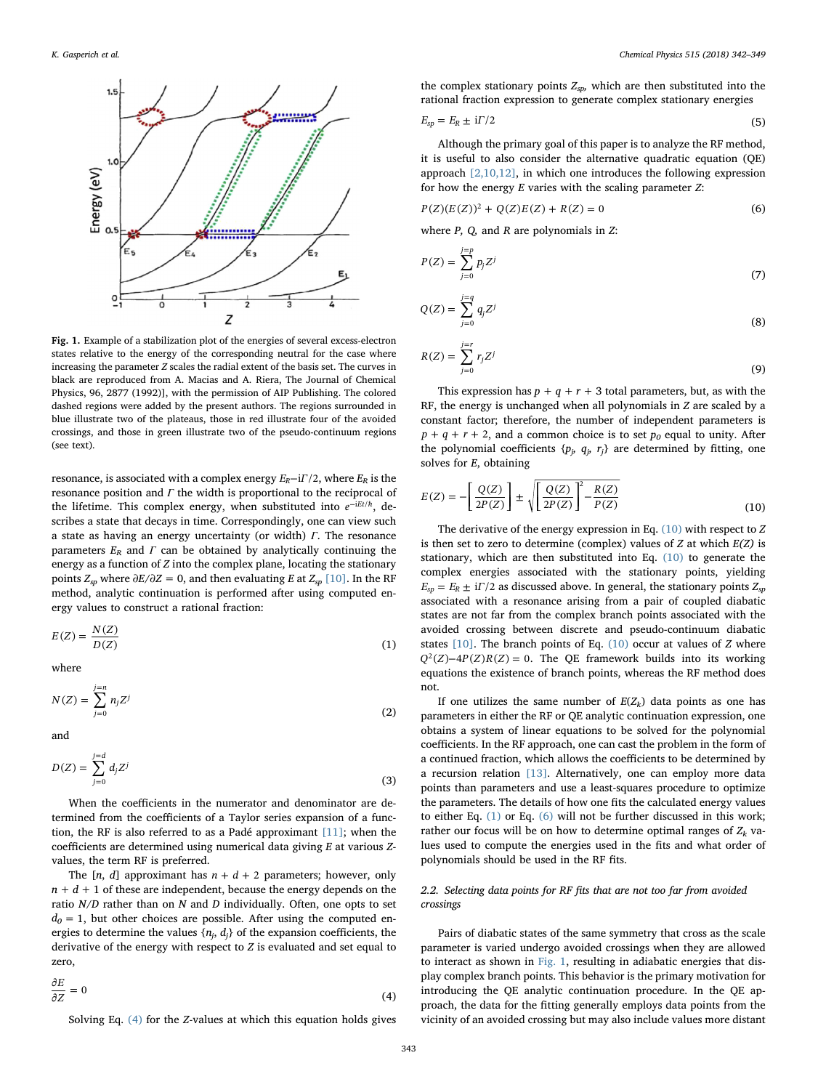<span id="page-1-0"></span>

Fig. 1. Example of a stabilization plot of the energies of several excess-electron states relative to the energy of the corresponding neutral for the case where increasing the parameter Z scales the radial extent of the basis set. The curves in black are reproduced from A. Macias and A. Riera, The Journal of Chemical Physics, 96, 2877 (1992)], with the permission of AIP Publishing. The colored dashed regions were added by the present authors. The regions surrounded in blue illustrate two of the plateaus, those in red illustrate four of the avoided crossings, and those in green illustrate two of the pseudo-continuum regions (see text).

resonance, is associated with a complex energy *E<sub>R</sub>*−i*Γ*/2, where *E<sub>R</sub>* is the resonance position and  $\Gamma$  the width is proportional to the reciprocal of the lifetime. This complex energy, when substituted into  $e^{-iEt/\hbar}$ , describes a state that decays in time. Correspondingly, one can view such a state as having an energy uncertainty (or width)  $\Gamma$ . The resonance parameters  $E_R$  and  $\Gamma$  can be obtained by analytically continuing the energy as a function of Z into the complex plane, locating the stationary points  $Z_{sp}$  where  $\partial E/\partial Z = 0$ , and then evaluating E at  $Z_{sp}$  [\[10\]](#page-7-8). In the RF method, analytic continuation is performed after using computed energy values to construct a rational fraction:

<span id="page-1-3"></span>
$$
E(Z) = \frac{N(Z)}{D(Z)}\tag{1}
$$

where

$$
N(Z) = \sum_{j=0}^{j=n} n_j Z^j
$$
\n
$$
(2)
$$

and

$$
D(Z) = \sum_{j=0}^{j=d} d_j Z^j
$$
 (3)

When the coefficients in the numerator and denominator are determined from the coefficients of a Taylor series expansion of a function, the RF is also referred to as a Padé approximant [\[11\]](#page-7-9); when the coefficients are determined using numerical data giving E at various Zvalues, the term RF is preferred.

The  $[n, d]$  approximant has  $n + d + 2$  parameters; however, only  $n + d + 1$  of these are independent, because the energy depends on the ratio  $N/D$  rather than on  $N$  and  $D$  individually. Often, one opts to set  $d_0 = 1$ , but other choices are possible. After using the computed energies to determine the values  $\{n_i, d_i\}$  of the expansion coefficients, the derivative of the energy with respect to Z is evaluated and set equal to zero,

<span id="page-1-1"></span>
$$
\frac{\partial E}{\partial Z} = 0 \tag{4}
$$

Solving Eq. [\(4\)](#page-1-1) for the Z-values at which this equation holds gives

the complex stationary points  $Z_{sp}$ , which are then substituted into the rational fraction expression to generate complex stationary energies

$$
E_{sp} = E_R \pm i\Gamma/2 \tag{5}
$$

Although the primary goal of this paper is to analyze the RF method, it is useful to also consider the alternative quadratic equation (QE) approach  $[2,10,12]$ , in which one introduces the following expression for how the energy E varies with the scaling parameter Z:

<span id="page-1-4"></span>
$$
P(Z)(E(Z))^2 + Q(Z)E(Z) + R(Z) = 0
$$
\n(6)

where  $P$ ,  $Q$ , and  $R$  are polynomials in  $Z$ :

$$
P(Z) = \sum_{j=0}^{j=p} p_j Z^j
$$
 (7)

$$
Q(Z) = \sum_{j=0}^{j=q} q_j Z^j
$$
\n(8)

$$
R(Z) = \sum_{j=0}^{j=r} r_j Z^j
$$
\n(9)

This expression has  $p + q + r + 3$  total parameters, but, as with the RF, the energy is unchanged when all polynomials in Z are scaled by a constant factor; therefore, the number of independent parameters is  $p + q + r + 2$ , and a common choice is to set  $p_0$  equal to unity. After the polynomial coefficients  $\{p_j, q_j, r_j\}$  are determined by fitting, one solves for E, obtaining

<span id="page-1-2"></span>
$$
E(Z) = -\left[\frac{Q(Z)}{2P(Z)}\right] \pm \sqrt{\left[\frac{Q(Z)}{2P(Z)}\right]^2 - \frac{R(Z)}{P(Z)}}\tag{10}
$$

The derivative of the energy expression in Eq.  $(10)$  with respect to Z is then set to zero to determine (complex) values of  $Z$  at which  $E(Z)$  is stationary, which are then substituted into Eq. [\(10\)](#page-1-2) to generate the complex energies associated with the stationary points, yielding  $E_{sp} = E_R \pm i\Gamma/2$  as discussed above. In general, the stationary points  $Z_{sp}$ associated with a resonance arising from a pair of coupled diabatic states are not far from the complex branch points associated with the avoided crossing between discrete and pseudo-continuum diabatic states  $[10]$ . The branch points of Eq.  $(10)$  occur at values of Z where  $Q^2(Z) - 4P(Z)R(Z) = 0$ . The QE framework builds into its working equations the existence of branch points, whereas the RF method does not.

If one utilizes the same number of  $E(Z_k)$  data points as one has parameters in either the RF or QE analytic continuation expression, one obtains a system of linear equations to be solved for the polynomial coefficients. In the RF approach, one can cast the problem in the form of a continued fraction, which allows the coefficients to be determined by a recursion relation [\[13\].](#page-7-10) Alternatively, one can employ more data points than parameters and use a least-squares procedure to optimize the parameters. The details of how one fits the calculated energy values to either Eq. [\(1\)](#page-1-3) or Eq. [\(6\)](#page-1-4) will not be further discussed in this work; rather our focus will be on how to determine optimal ranges of  $Z_k$  values used to compute the energies used in the fits and what order of polynomials should be used in the RF fits.

# 2.2. Selecting data points for RF fits that are not too far from avoided crossings

Pairs of diabatic states of the same symmetry that cross as the scale parameter is varied undergo avoided crossings when they are allowed to interact as shown in [Fig. 1](#page-1-0), resulting in adiabatic energies that display complex branch points. This behavior is the primary motivation for introducing the QE analytic continuation procedure. In the QE approach, the data for the fitting generally employs data points from the vicinity of an avoided crossing but may also include values more distant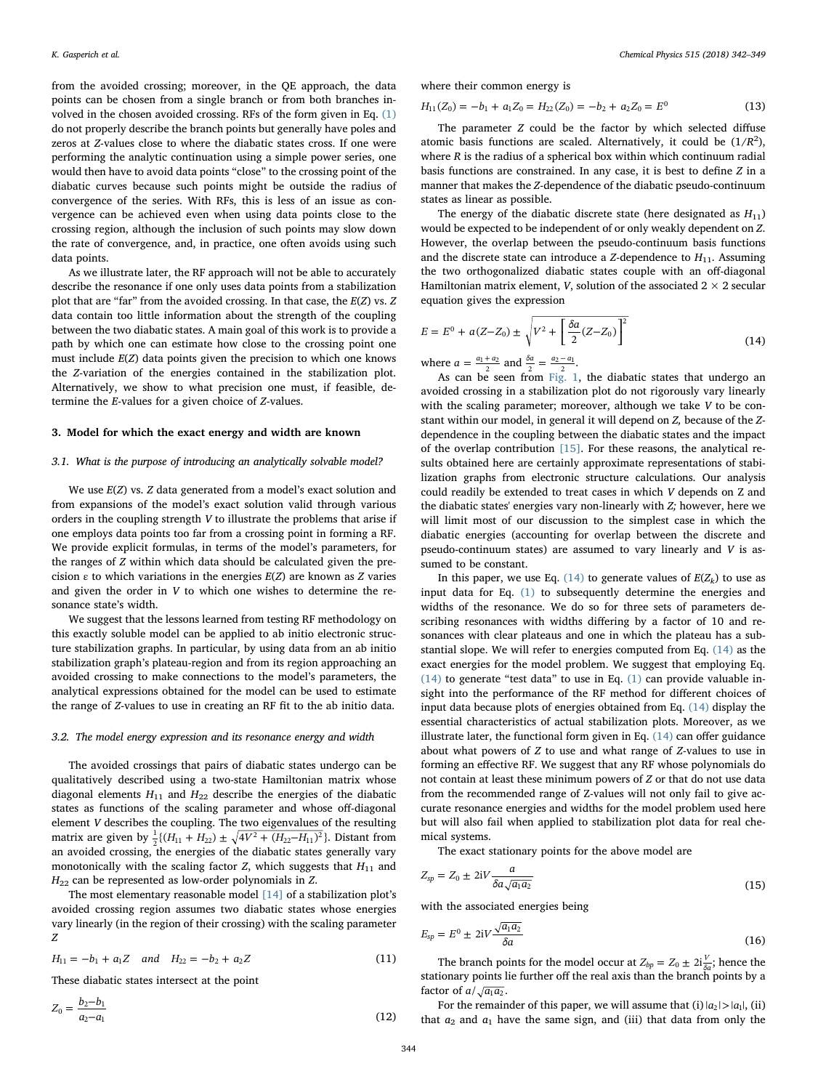from the avoided crossing; moreover, in the QE approach, the data points can be chosen from a single branch or from both branches involved in the chosen avoided crossing. RFs of the form given in Eq. [\(1\)](#page-1-3) do not properly describe the branch points but generally have poles and zeros at Z-values close to where the diabatic states cross. If one were performing the analytic continuation using a simple power series, one would then have to avoid data points "close" to the crossing point of the diabatic curves because such points might be outside the radius of convergence of the series. With RFs, this is less of an issue as convergence can be achieved even when using data points close to the crossing region, although the inclusion of such points may slow down the rate of convergence, and, in practice, one often avoids using such data points.

As we illustrate later, the RF approach will not be able to accurately describe the resonance if one only uses data points from a stabilization plot that are "far" from the avoided crossing. In that case, the E(Z) vs. Z data contain too little information about the strength of the coupling between the two diabatic states. A main goal of this work is to provide a path by which one can estimate how close to the crossing point one must include  $E(Z)$  data points given the precision to which one knows the Z-variation of the energies contained in the stabilization plot. Alternatively, we show to what precision one must, if feasible, determine the E-values for a given choice of Z-values.

## 3. Model for which the exact energy and width are known

# 3.1. What is the purpose of introducing an analytically solvable model?

We use  $E(Z)$  vs. Z data generated from a model's exact solution and from expansions of the model's exact solution valid through various orders in the coupling strength V to illustrate the problems that arise if one employs data points too far from a crossing point in forming a RF. We provide explicit formulas, in terms of the model's parameters, for the ranges of Z within which data should be calculated given the precision ε to which variations in the energies E(Z) are known as Z varies and given the order in V to which one wishes to determine the resonance state's width.

We suggest that the lessons learned from testing RF methodology on this exactly soluble model can be applied to ab initio electronic structure stabilization graphs. In particular, by using data from an ab initio stabilization graph's plateau-region and from its region approaching an avoided crossing to make connections to the model's parameters, the analytical expressions obtained for the model can be used to estimate the range of Z-values to use in creating an RF fit to the ab initio data.

#### 3.2. The model energy expression and its resonance energy and width

The avoided crossings that pairs of diabatic states undergo can be qualitatively described using a two-state Hamiltonian matrix whose diagonal elements  $H_{11}$  and  $H_{22}$  describe the energies of the diabatic states as functions of the scaling parameter and whose off-diagonal element V describes the coupling. The two eigenvalues of the resulting matrix are given by  $\frac{1}{2} \{ (H_{11} + H_{22}) \pm \sqrt{4V^2 + (H_{22} - H_{11})^2} \}$ . Distant from an avoided crossing, the energies of the diabatic states generally vary monotonically with the scaling factor Z, which suggests that  $H_{11}$  and  $H_{22}$  can be represented as low-order polynomials in Z.

The most elementary reasonable model [\[14\]](#page-7-11) of a stabilization plot's avoided crossing region assumes two diabatic states whose energies vary linearly (in the region of their crossing) with the scaling parameter Z

$$
H_{11} = -b_1 + a_1 Z \quad and \quad H_{22} = -b_2 + a_2 Z \tag{11}
$$

These diabatic states intersect at the point

$$
Z_0 = \frac{b_2 - b_1}{a_2 - a_1} \tag{12}
$$

where their common energy is

$$
H_{11}(Z_0) = -b_1 + a_1 Z_0 = H_{22}(Z_0) = -b_2 + a_2 Z_0 = E^0
$$
\n(13)

The parameter Z could be the factor by which selected diffuse atomic basis functions are scaled. Alternatively, it could be  $(1/R<sup>2</sup>)$ , where  $R$  is the radius of a spherical box within which continuum radial basis functions are constrained. In any case, it is best to define Z in a manner that makes the Z-dependence of the diabatic pseudo-continuum states as linear as possible.

The energy of the diabatic discrete state (here designated as  $H_{11}$ ) would be expected to be independent of or only weakly dependent on Z. However, the overlap between the pseudo-continuum basis functions and the discrete state can introduce a Z-dependence to  $H_{11}$ . Assuming the two orthogonalized diabatic states couple with an off-diagonal Hamiltonian matrix element, *V*, solution of the associated  $2 \times 2$  secular equation gives the expression

<span id="page-2-0"></span>
$$
E = E^0 + a(Z - Z_0) \pm \sqrt{V^2 + \left[\frac{\delta a}{2}(Z - Z_0)\right]^2}
$$
(14)

where  $a = \frac{a_1 + a_2}{2}$  and  $\frac{\delta a}{2} = \frac{a_2 - a_1}{2}$ .

As can be seen from [Fig. 1](#page-1-0), the diabatic states that undergo an avoided crossing in a stabilization plot do not rigorously vary linearly with the scaling parameter; moreover, although we take V to be constant within our model, in general it will depend on Z, because of the Zdependence in the coupling between the diabatic states and the impact of the overlap contribution [\[15\]](#page-7-12). For these reasons, the analytical results obtained here are certainly approximate representations of stabilization graphs from electronic structure calculations. Our analysis could readily be extended to treat cases in which V depends on Z and the diabatic states' energies vary non-linearly with Z; however, here we will limit most of our discussion to the simplest case in which the diabatic energies (accounting for overlap between the discrete and pseudo-continuum states) are assumed to vary linearly and V is assumed to be constant.

In this paper, we use Eq. [\(14\)](#page-2-0) to generate values of  $E(Z_k)$  to use as input data for Eq. [\(1\)](#page-1-3) to subsequently determine the energies and widths of the resonance. We do so for three sets of parameters describing resonances with widths differing by a factor of 10 and resonances with clear plateaus and one in which the plateau has a substantial slope. We will refer to energies computed from Eq. [\(14\)](#page-2-0) as the exact energies for the model problem. We suggest that employing Eq. [\(14\)](#page-2-0) to generate "test data" to use in Eq. [\(1\)](#page-1-3) can provide valuable insight into the performance of the RF method for different choices of input data because plots of energies obtained from Eq. [\(14\)](#page-2-0) display the essential characteristics of actual stabilization plots. Moreover, as we illustrate later, the functional form given in Eq.  $(14)$  can offer guidance about what powers of Z to use and what range of Z-values to use in forming an effective RF. We suggest that any RF whose polynomials do not contain at least these minimum powers of Z or that do not use data from the recommended range of Z-values will not only fail to give accurate resonance energies and widths for the model problem used here but will also fail when applied to stabilization plot data for real chemical systems.

<span id="page-2-1"></span>The exact stationary points for the above model are

$$
Z_{sp} = Z_0 \pm 2\mathrm{i}V \frac{a}{\delta a \sqrt{a_1 a_2}}\tag{15}
$$

<span id="page-2-2"></span>with the associated energies being

$$
E_{sp} = E^0 \pm 2\mathrm{i}V \frac{\sqrt{a_1 a_2}}{\delta a} \tag{16}
$$

The branch points for the model occur at  $Z_{bp} = Z_0 \pm 2i \frac{V}{\delta a}$ ; hence the stationary points lie further off the real axis than the branch points by a factor of  $a/\sqrt{a_1 a_2}$ .

For the remainder of this paper, we will assume that (i)  $|a_2| > |a_1|$ , (ii) that  $a_2$  and  $a_1$  have the same sign, and (iii) that data from only the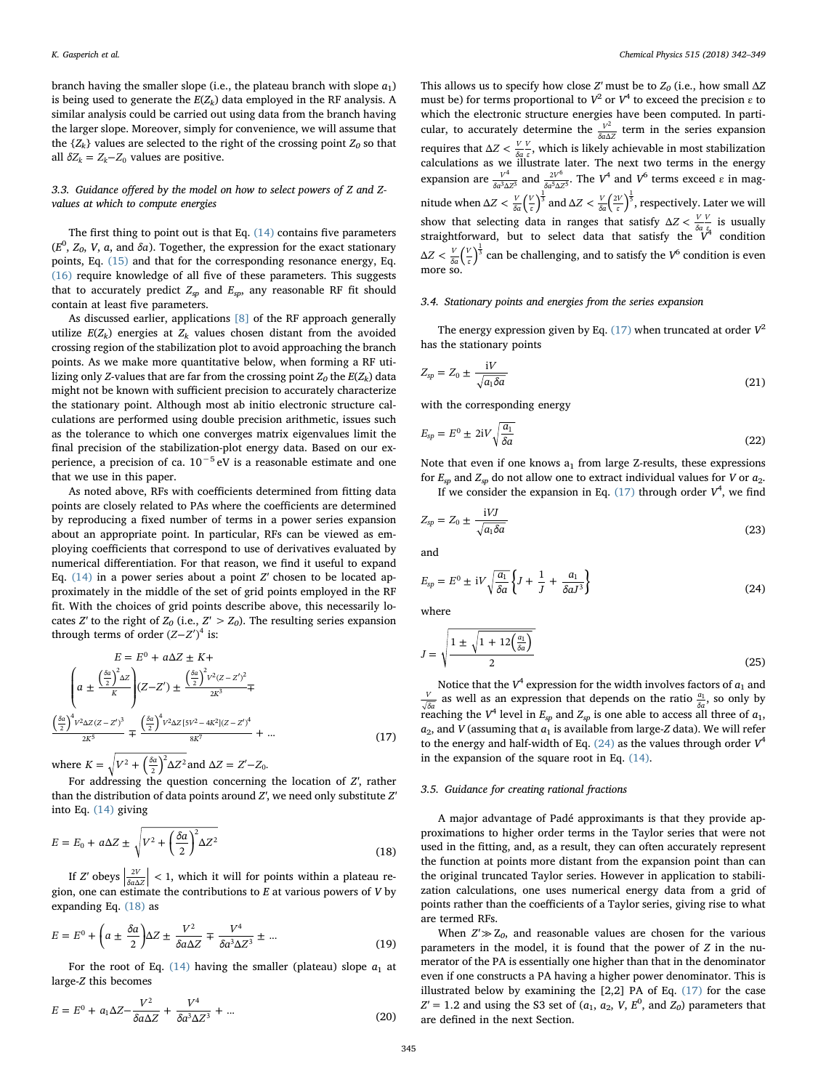branch having the smaller slope (i.e., the plateau branch with slope  $a_1$ ) is being used to generate the  $E(Z_k)$  data employed in the RF analysis. A similar analysis could be carried out using data from the branch having the larger slope. Moreover, simply for convenience, we will assume that the  $\{Z_k\}$  values are selected to the right of the crossing point  $Z_0$  so that all  $\delta Z_k = Z_k - Z_0$  values are positive.

# 3.3. Guidance offered by the model on how to select powers of Z and Zvalues at which to compute energies

The first thing to point out is that Eq. [\(14\)](#page-2-0) contains five parameters  $(E^0, Z_0, V, a$ , and  $\delta a$ ). Together, the expression for the exact stationary points, Eq. [\(15\)](#page-2-1) and that for the corresponding resonance energy, Eq. [\(16\)](#page-2-2) require knowledge of all five of these parameters. This suggests that to accurately predict  $Z_{sp}$  and  $E_{sp}$ , any reasonable RF fit should contain at least five parameters.

As discussed earlier, applications [\[8\]](#page-7-6) of the RF approach generally utilize  $E(Z_k)$  energies at  $Z_k$  values chosen distant from the avoided crossing region of the stabilization plot to avoid approaching the branch points. As we make more quantitative below, when forming a RF utilizing only Z-values that are far from the crossing point  $Z_0$  the  $E(Z_k)$  data might not be known with sufficient precision to accurately characterize the stationary point. Although most ab initio electronic structure calculations are performed using double precision arithmetic, issues such as the tolerance to which one converges matrix eigenvalues limit the final precision of the stabilization-plot energy data. Based on our experience, a precision of ca.  $10^{-5}$  eV is a reasonable estimate and one that we use in this paper.

As noted above, RFs with coefficients determined from fitting data points are closely related to PAs where the coefficients are determined by reproducing a fixed number of terms in a power series expansion about an appropriate point. In particular, RFs can be viewed as employing coefficients that correspond to use of derivatives evaluated by numerical differentiation. For that reason, we find it useful to expand Eq.  $(14)$  in a power series about a point Z' chosen to be located approximately in the middle of the set of grid points employed in the RF fit. With the choices of grid points describe above, this necessarily locates Z' to the right of  $Z_0$  (i.e.,  $Z' > Z_0$ ). The resulting series expansion through terms of order  $(Z-Z')^4$  is:

<span id="page-3-1"></span>
$$
E = E^{0} + a\Delta Z \pm K +
$$
\n
$$
\left(a \pm \frac{\left(\frac{\delta a}{2}\right)^{2} \Delta Z}{K}\right) (Z - Z') \pm \frac{\left(\frac{\delta a}{2}\right)^{2} V^{2} (Z - Z')^{2}}{2K^{3}} \mp
$$
\n
$$
\frac{\left(\frac{\delta a}{2}\right)^{4} V^{2} \Delta Z (Z - Z')^{3}}{2K^{5}} \mp \frac{\left(\frac{\delta a}{2}\right)^{4} V^{2} \Delta Z [5V^{2} - 4K^{2}](Z - Z')^{4}}{8K^{7}} + \dots
$$
\n(17)\nwhere  $K = \sqrt{V^{2} + \left(\frac{\delta a}{2}\right)^{2} \Delta Z^{2}}$  and  $\Delta Z = Z' - Z_{2}$ 

where  $K = \sqrt{V^2 + \left(\frac{\delta a}{2}\right)^2} \Delta Z^2$  and  $\Delta Z = Z' - Z_0$ .

<span id="page-3-0"></span>For addressing the question concerning the location of Z', rather than the distribution of data points around Z', we need only substitute Z' into Eq. [\(14\)](#page-2-0) giving

$$
E = E_0 + a\Delta Z \pm \sqrt{V^2 + \left(\frac{\delta a}{2}\right)^2 \Delta Z^2}
$$
\n(18)

<span id="page-3-3"></span>If Z' obeys  $\left| \frac{2V}{\delta a \Delta Z} \right|$  < 1, which it will for points within a plateau region, one can estimate the contributions to  $E$  at various powers of  $V$  by expanding Eq. [\(18\)](#page-3-0) as

$$
E = E^0 + \left(a \pm \frac{\delta a}{2}\right) \Delta Z \pm \frac{V^2}{\delta a \Delta Z} \mp \frac{V^4}{\delta a^3 \Delta Z^3} \pm \dots \tag{19}
$$

For the root of Eq. [\(14\)](#page-2-0) having the smaller (plateau) slope  $a_1$  at large-Z this becomes

$$
E = E^0 + a_1 \Delta Z - \frac{V^2}{\delta a \Delta Z} + \frac{V^4}{\delta a^3 \Delta Z^3} + \dots
$$
 (20)

This allows us to specify how close Z' must be to  $Z_0$  (i.e., how small  $\Delta Z$ must be) for terms proportional to  $V^2$  or  $V^4$  to exceed the precision  $\varepsilon$  to which the electronic structure energies have been computed. In particular, to accurately determine the  $\frac{V^2}{\delta a \Delta Z}$  $\frac{2}{\sqrt{7}}$  term in the series expansion requires that  $\Delta Z < \frac{V}{\delta a}$ , which is likely achievable in most stabilization calculations as we illustrate later. The next two terms in the energy expansion are  $\frac{V^4}{\delta a^3 \Delta Z}$  $\frac{V^4}{V^3\Delta Z^3}$  and  $\frac{2V^6}{\delta a^5\Delta Z}$ 2 Δ  $\frac{2V^6}{\delta a^5 \Delta Z^5}$ . The V<sup>4</sup> and V<sup>6</sup> terms exceed ε in magnitude when  $\Delta Z < \frac{V}{\delta a} \left(\frac{V}{\varepsilon}\right)^{\frac{1}{3}}$  and  $\Delta Z < \frac{V}{\delta a} \left(\frac{2V}{\varepsilon}\right)^{\frac{1}{3}}$ , respectively. Later we will show that selecting data in ranges that satisfy  $\Delta Z < \frac{V}{\delta a} \frac{V}{\epsilon}$  is usually straightforward, but to select data that satisfy the  $\overline{V}$  condition  $ΔZ < \frac{V}{δa} \left( \frac{V}{ε} \right)$  $\frac{1}{3}$  can be challenging, and to satisfy the  $V^6$  condition is even more so.

## 3.4. Stationary points and energies from the series expansion

The energy expression given by Eq. [\(17\)](#page-3-1) when truncated at order  $V^2$ has the stationary points

$$
Z_{sp} = Z_0 \pm \frac{\mathrm{i} V}{\sqrt{a_1 \delta a}} \tag{21}
$$

<span id="page-3-4"></span>with the corresponding energy

$$
E_{sp} = E^0 \pm 2\mathrm{i}V \sqrt{\frac{a_1}{\delta a}}\tag{22}
$$

Note that even if one knows  $a_1$  from large Z-results, these expressions for  $E_{sp}$  and  $Z_{sp}$  do not allow one to extract individual values for V or  $a_2$ .

If we consider the expansion in Eq.  $(17)$  through order  $V<sup>4</sup>$ , we find

$$
Z_{sp} = Z_0 \pm \frac{iVJ}{\sqrt{a_1 \delta a}}\tag{23}
$$

<span id="page-3-2"></span>and

$$
E_{sp} = E^0 \pm iV \sqrt{\frac{a_1}{\delta a}} \left\{ J + \frac{1}{J} + \frac{a_1}{\delta a J^3} \right\}
$$
 (24)

where

$$
J = \sqrt{\frac{1 \pm \sqrt{1 + 12\left(\frac{a_1}{\delta a}\right)}}{2}}\tag{25}
$$

Notice that the  $V^4$  expression for the width involves factors of  $a_1$  and  $V$  as well as an expression that depends on the ratio  $a_1$  so only by  $\frac{V}{\delta a}$  as well as an expression that depends on the ratio  $\frac{a_1}{\delta a}$ , so only by reaching the  $V^4$  level in  $E_{sp}$  and  $Z_{sp}$  is one able to access all three of  $a_1$ ,  $a_2$ , and V (assuming that  $a_1$  is available from large-Z data). We will refer to the energy and half-width of Eq. [\(24\)](#page-3-2) as the values through order  $V^4$ in the expansion of the square root in Eq. [\(14\).](#page-2-0)

#### 3.5. Guidance for creating rational fractions

A major advantage of Padé approximants is that they provide approximations to higher order terms in the Taylor series that were not used in the fitting, and, as a result, they can often accurately represent the function at points more distant from the expansion point than can the original truncated Taylor series. However in application to stabilization calculations, one uses numerical energy data from a grid of points rather than the coefficients of a Taylor series, giving rise to what are termed RFs.

When  $Z' \gg Z_0$ , and reasonable values are chosen for the various parameters in the model, it is found that the power of Z in the numerator of the PA is essentially one higher than that in the denominator even if one constructs a PA having a higher power denominator. This is illustrated below by examining the [2,2] PA of Eq. [\(17\)](#page-3-1) for the case  $Z' = 1.2$  and using the S3 set of  $(a_1, a_2, V, E^0)$ , and  $Z_0$ ) parameters that are defined in the next Section.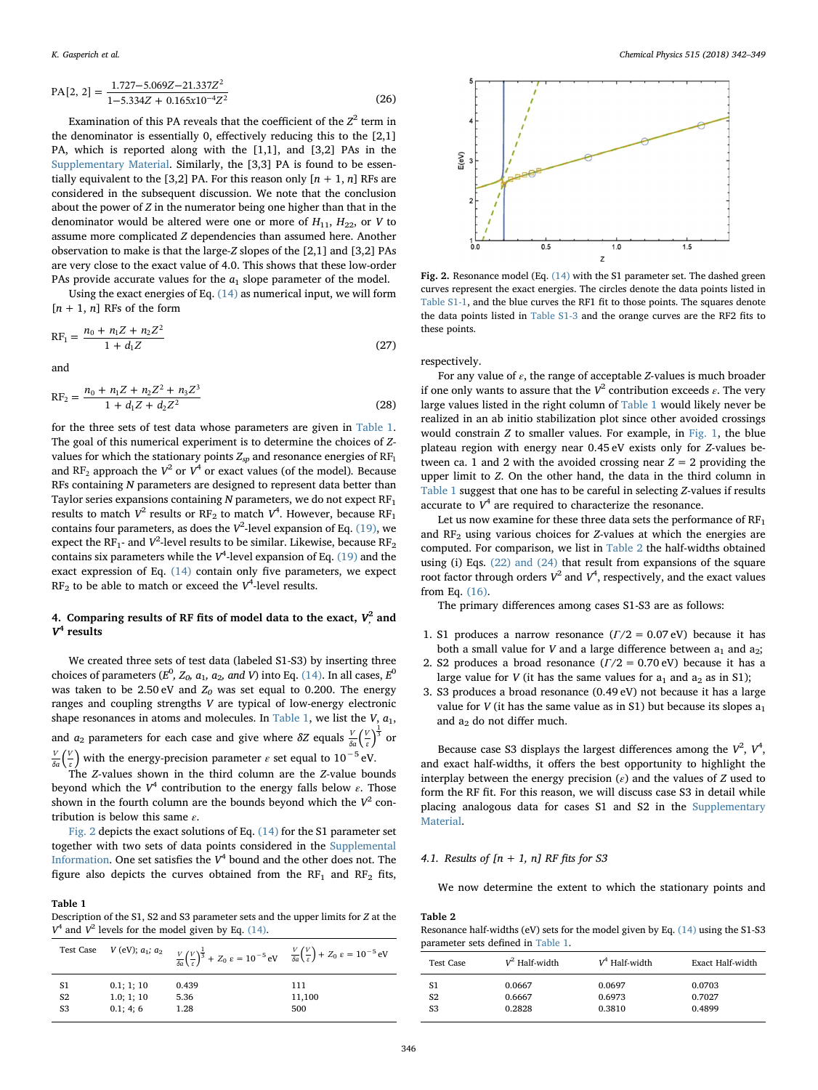$$
PA[2, 2] = \frac{1.727 - 5.069Z - 21.337Z^2}{1 - 5.334Z + 0.165x10^{-4}Z^2}
$$
\n(26)

Examination of this PA reveals that the coefficient of the  $Z^2$  term in the denominator is essentially 0, effectively reducing this to the [2,1] PA, which is reported along with the [1,1], and [3,2] PAs in the Supplementary Material. Similarly, the [3,3] PA is found to be essentially equivalent to the [3,2] PA. For this reason only  $[n + 1, n]$  RFs are considered in the subsequent discussion. We note that the conclusion about the power of Z in the numerator being one higher than that in the denominator would be altered were one or more of  $H_{11}$ ,  $H_{22}$ , or V to assume more complicated Z dependencies than assumed here. Another observation to make is that the large-Z slopes of the [2,1] and [3,2] PAs are very close to the exact value of 4.0. This shows that these low-order PAs provide accurate values for the  $a_1$  slope parameter of the model.

Using the exact energies of Eq. [\(14\)](#page-2-0) as numerical input, we will form  $[n + 1, n]$  RFs of the form

$$
RF_1 = \frac{n_0 + n_1 Z + n_2 Z^2}{1 + d_1 Z}
$$
 (27)

and

$$
RF_2 = \frac{n_0 + n_1 Z + n_2 Z^2 + n_3 Z^3}{1 + d_1 Z + d_2 Z^2}
$$
\n(28)

for the three sets of test data whose parameters are given in [Table 1](#page-4-0). The goal of this numerical experiment is to determine the choices of Zvalues for which the stationary points  $Z_{sp}$  and resonance energies of  $RF_1$ and RF<sub>2</sub> approach the  $V^2$  or  $V^4$  or exact values (of the model). Because RFs containing N parameters are designed to represent data better than Taylor series expansions containing  $N$  parameters, we do not expect  $RF<sub>1</sub>$ results to match  $V^2$  results or RF<sub>2</sub> to match  $V^4$ . However, because RF<sub>1</sub> contains four parameters, as does the  $V^2$ -level expansion of Eq. [\(19\)](#page-3-3), we expect the RF<sub>1</sub>- and  $V^2$ -level results to be similar. Likewise, because RF<sub>2</sub> contains six parameters while the  $V^4$ -level expansion of Eq. [\(19\)](#page-3-3) and the exact expression of Eq. [\(14\)](#page-2-0) contain only five parameters, we expect  $RF_2$  to be able to match or exceed the  $V^4$ -level results.

# 4. Comparing results of RF fits of model data to the exact,  $V^2$ , and  $V^4$  results

We created three sets of test data (labeled S1-S3) by inserting three choices of parameters ( $E^0$ ,  $Z_0$ ,  $a_1$ ,  $a_2$ , and V) into Eq. [\(14\).](#page-2-0) In all cases,  $E^0$ was taken to be 2.50 eV and  $Z_0$  was set equal to 0.200. The energy ranges and coupling strengths V are typical of low-energy electronic shape resonances in atoms and molecules. In [Table 1](#page-4-0), we list the V,  $a_1$ , and  $a_2$  parameters for each case and give where  $\delta Z$  equals  $\frac{V}{\delta a} \left( \frac{V}{\varepsilon} \right)$  $rac{1}{3}$  or  $\frac{V}{\delta a} \left( \frac{V}{\varepsilon} \right)$  with the energy-precision parameter  $\varepsilon$  set equal to 10<sup>-5</sup> eV.

The Z-values shown in the third column are the Z-value bounds beyond which the  $V^4$  contribution to the energy falls below  $\varepsilon$ . Those shown in the fourth column are the bounds beyond which the  $V^2$  contribution is below this same  $\varepsilon$ .

[Fig. 2](#page-4-1) depicts the exact solutions of Eq. [\(14\)](#page-2-0) for the S1 parameter set together with two sets of data points considered in the Supplemental Information. One set satisfies the  $V^4$  bound and the other does not. The figure also depicts the curves obtained from the  $RF<sub>1</sub>$  and  $RF<sub>2</sub>$  fits,

#### <span id="page-4-0"></span>Table 1

Description of the S1, S2 and S3 parameter sets and the upper limits for Z at the  $V^4$  and  $V^2$  levels for the model given by Eq. [\(14\)](#page-2-0).

| Test Case      | $V$ (eV); $a_1$ ; $a_2$ | $\frac{V}{\delta a} \left( \frac{V}{\varepsilon} \right)^{\frac{1}{3}} + Z_0 \varepsilon = 10^{-5} \text{eV} \quad \frac{V}{\delta a} \left( \frac{V}{\varepsilon} \right) + Z_0 \varepsilon = 10^{-5} \text{eV}$ |        |
|----------------|-------------------------|-------------------------------------------------------------------------------------------------------------------------------------------------------------------------------------------------------------------|--------|
| S1             | 0.1; 1; 10              | 0.439                                                                                                                                                                                                             | 111    |
| S <sub>2</sub> | 1.0; 1; 10              | 5.36                                                                                                                                                                                                              | 11,100 |
| S3             | 0.1; 4; 6               | 1.28                                                                                                                                                                                                              | 500    |

<span id="page-4-1"></span>

Fig. 2. Resonance model (Eq. [\(14\)](#page-2-0) with the S1 parameter set. The dashed green curves represent the exact energies. The circles denote the data points listed in Table S1-1, and the blue curves the RF1 fit to those points. The squares denote the data points listed in Table S1-3 and the orange curves are the RF2 fits to these points.

respectively.

For any value of  $\varepsilon$ , the range of acceptable Z-values is much broader if one only wants to assure that the  $V^2$  contribution exceeds  $\varepsilon$ . The very large values listed in the right column of [Table 1](#page-4-0) would likely never be realized in an ab initio stabilization plot since other avoided crossings would constrain Z to smaller values. For example, in [Fig. 1,](#page-1-0) the blue plateau region with energy near 0.45 eV exists only for Z-values between ca. 1 and 2 with the avoided crossing near  $Z = 2$  providing the upper limit to Z. On the other hand, the data in the third column in [Table 1](#page-4-0) suggest that one has to be careful in selecting Z-values if results accurate to  $V^4$  are required to characterize the resonance.

Let us now examine for these three data sets the performance of  $RF<sub>1</sub>$ and  $RF_2$  using various choices for Z-values at which the energies are computed. For comparison, we list in [Table 2](#page-4-2) the half-widths obtained using (i) Eqs. [\(22\) and \(24\)](#page-3-4) that result from expansions of the square root factor through orders  $V^2$  and  $V^4$ , respectively, and the exact values from Eq. [\(16\).](#page-2-2)

The primary differences among cases S1-S3 are as follows:

- 1. S1 produces a narrow resonance  $(\Gamma/2 = 0.07 \text{ eV})$  because it has both a small value for V and a large difference between  $a_1$  and  $a_2$ ;
- 2. S2 produces a broad resonance  $(\Gamma/2 = 0.70 \text{ eV})$  because it has a large value for V (it has the same values for  $a_1$  and  $a_2$  as in S1);
- 3. S3 produces a broad resonance (0.49 eV) not because it has a large value for V (it has the same value as in S1) but because its slopes  $a_1$ and  $a_2$  do not differ much.

Because case S3 displays the largest differences among the  $V^2$ ,  $V^4$ , and exact half-widths, it offers the best opportunity to highlight the interplay between the energy precision  $(\varepsilon)$  and the values of Z used to form the RF fit. For this reason, we will discuss case S3 in detail while placing analogous data for cases S1 and S2 in the Supplementary Material.

# 4.1. Results of  $[n + 1, n]$  RF fits for S3

We now determine the extent to which the stationary points and

#### <span id="page-4-2"></span>Table 2

Resonance half-widths (eV) sets for the model given by Eq. [\(14\)](#page-2-0) using the S1-S3 parameter sets defined in [Table 1](#page-4-0).

| <b>Test Case</b> | $V^2$ Half-width | $V^4$ Half-width | Exact Half-width |
|------------------|------------------|------------------|------------------|
| S1<br>S2         | 0.0667<br>0.6667 | 0.0697<br>0.6973 | 0.0703<br>0.7027 |
| S3               | 0.2828           | 0.3810           | 0.4899           |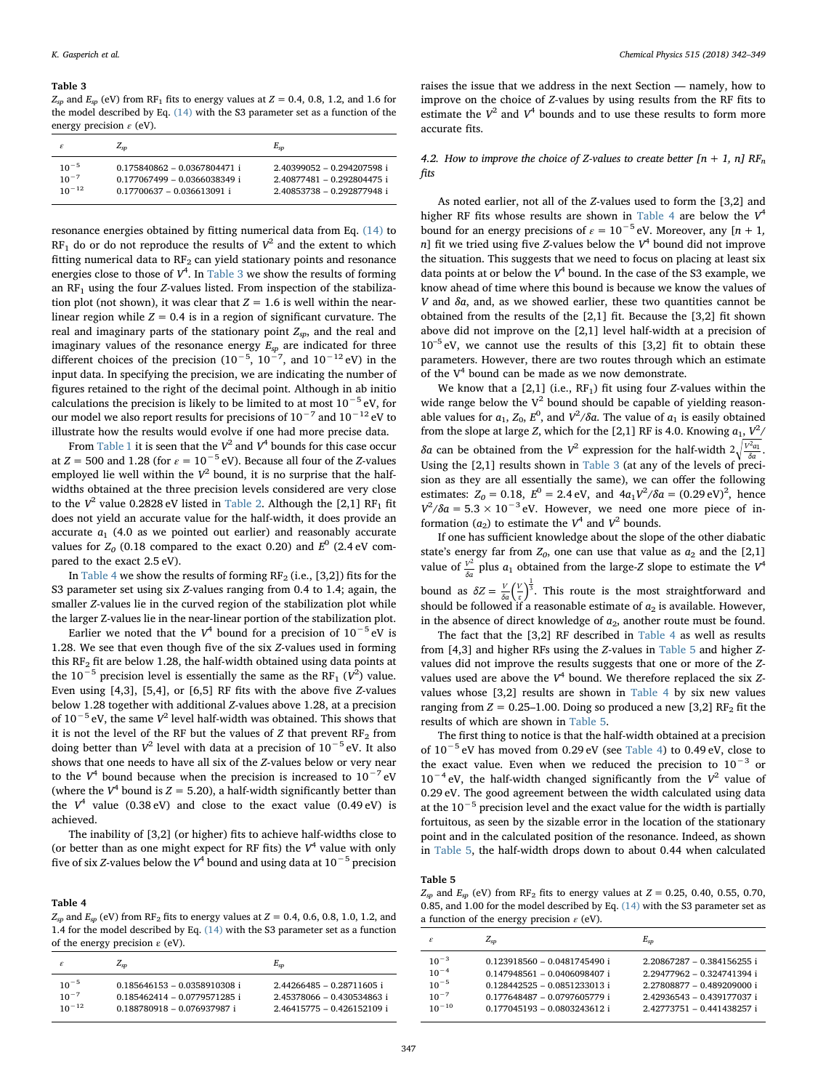#### <span id="page-5-0"></span>Table 3

 $Z_{sp}$  and  $E_{sp}$  (eV) from RF<sub>1</sub> fits to energy values at  $Z = 0.4$ , 0.8, 1.2, and 1.6 for the model described by Eq. [\(14\)](#page-2-0) with the S3 parameter set as a function of the energy precision  $\varepsilon$  (eV).

| £          | $Z_{\rm sn}$                   | $E_{sp}$                     |
|------------|--------------------------------|------------------------------|
| $10^{-5}$  | $0.175840862 - 0.0367804471$ i | $2.40399052 - 0.294207598$ i |
| $10^{-7}$  | $0.177067499 - 0.0366038349$ i | 2.40877481 - 0.292804475 i   |
| $10^{-12}$ | $0.17700637 - 0.036613091$ i   | 2.40853738 - 0.292877948 i   |

resonance energies obtained by fitting numerical data from Eq. [\(14\)](#page-2-0) to  $RF<sub>1</sub>$  do or do not reproduce the results of  $V<sup>2</sup>$  and the extent to which fitting numerical data to  $RF_2$  can yield stationary points and resonance energies close to those of  $V^4$ . In [Table 3](#page-5-0) we show the results of forming an  $RF_1$  using the four Z-values listed. From inspection of the stabilization plot (not shown), it was clear that  $Z = 1.6$  is well within the nearlinear region while  $Z = 0.4$  is in a region of significant curvature. The real and imaginary parts of the stationary point  $Z_{sp}$ , and the real and imaginary values of the resonance energy  $E_{sp}$  are indicated for three different choices of the precision  $(10^{-5}, 10^{-7},$  and  $10^{-12}$  eV) in the input data. In specifying the precision, we are indicating the number of figures retained to the right of the decimal point. Although in ab initio calculations the precision is likely to be limited to at most  $10^{-5}$  eV, for our model we also report results for precisions of  $10^{-7}$  and  $10^{-12}$  eV to illustrate how the results would evolve if one had more precise data.

From [Table 1](#page-4-0) it is seen that the  $V^2$  and  $V^4$  bounds for this case occur at  $Z = 500$  and 1.28 (for  $\varepsilon = 10^{-5}$  eV). Because all four of the Z-values employed lie well within the  $V^2$  bound, it is no surprise that the halfwidths obtained at the three precision levels considered are very close to the  $V^2$  value 0.2828 eV listed in [Table 2.](#page-4-2) Although the [2,1] RF<sub>1</sub> fit does not yield an accurate value for the half-width, it does provide an accurate  $a_1$  (4.0 as we pointed out earlier) and reasonably accurate values for  $Z_0$  (0.18 compared to the exact 0.20) and  $E^0$  (2.4 eV compared to the exact 2.5 eV).

In [Table 4](#page-5-1) we show the results of forming  $RF_2$  (i.e., [3,2]) fits for the S3 parameter set using six Z-values ranging from 0.4 to 1.4; again, the smaller Z-values lie in the curved region of the stabilization plot while the larger Z-values lie in the near-linear portion of the stabilization plot.

Earlier we noted that the  $V^4$  bound for a precision of 10<sup>-5</sup> eV is 1.28. We see that even though five of the six Z-values used in forming this  $RF_2$  fit are below 1.28, the half-width obtained using data points at the 10<sup>-5</sup> precision level is essentially the same as the RF<sub>1</sub> ( $V^2$ ) value. Even using [4,3], [5,4], or [6,5] RF fits with the above five Z-values below 1.28 together with additional Z-values above 1.28, at a precision of  $10^{-5}$  eV, the same  $V^2$  level half-width was obtained. This shows that it is not the level of the RF but the values of  $Z$  that prevent RF<sub>2</sub> from doing better than  $V^2$  level with data at a precision of 10<sup>-5</sup> eV. It also shows that one needs to have all six of the Z-values below or very near to the V<sup>4</sup> bound because when the precision is increased to  $10^{-7}$  eV (where the  $V^4$  bound is  $Z = 5.20$ ), a half-width significantly better than the  $V^4$  value (0.38 eV) and close to the exact value (0.49 eV) is achieved.

The inability of [3,2] (or higher) fits to achieve half-widths close to (or better than as one might expect for RF fits) the  $V^4$  value with only five of six Z-values below the  $V^4$  bound and using data at 10<sup>-5</sup> precision

#### <span id="page-5-1"></span>Table 4

 $Z_{sp}$  and  $E_{sp}$  (eV) from RF<sub>2</sub> fits to energy values at  $Z = 0.4, 0.6, 0.8, 1.0, 1.2,$  and 1.4 for the model described by Eq. [\(14\)](#page-2-0) with the S3 parameter set as a function of the energy precision ε (eV).

|                                      | $Z_{\rm sp}$                                                                                    | $E_{SD}$                                                                                  |
|--------------------------------------|-------------------------------------------------------------------------------------------------|-------------------------------------------------------------------------------------------|
| $10^{-5}$<br>$10^{-7}$<br>$10^{-12}$ | $0.185646153 - 0.0358910308$ i<br>0.185462414 - 0.0779571285 i<br>$0.188780918 - 0.076937987$ i | 2.44266485 - 0.28711605 i<br>$2.45378066 - 0.430534863$ i<br>$2.46415775 - 0.426152109$ i |

raises the issue that we address in the next Section — namely, how to improve on the choice of Z-values by using results from the RF fits to estimate the  $V^2$  and  $V^4$  bounds and to use these results to form more accurate fits.

4.2. How to improve the choice of Z-values to create better  $[n + 1, n]$  RF<sub>n</sub> fits

As noted earlier, not all of the Z-values used to form the [3,2] and higher RF fits whose results are shown in [Table 4](#page-5-1) are below the  $V^4$ bound for an energy precisions of  $\varepsilon = 10^{-5}$  eV. Moreover, any [n + 1, n] fit we tried using five Z-values below the  $V^4$  bound did not improve the situation. This suggests that we need to focus on placing at least six data points at or below the  $V^4$  bound. In the case of the S3 example, we know ahead of time where this bound is because we know the values of V and  $\delta a$ , and, as we showed earlier, these two quantities cannot be obtained from the results of the [2,1] fit. Because the [3,2] fit shown above did not improve on the [2,1] level half-width at a precision of  $10^{-5}$  eV, we cannot use the results of this [3,2] fit to obtain these parameters. However, there are two routes through which an estimate of the  $V^4$  bound can be made as we now demonstrate.

We know that a  $[2,1]$  (i.e.,  $RF_1$ ) fit using four Z-values within the wide range below the  $V^2$  bound should be capable of yielding reasonable values for  $a_1$ ,  $Z_0$ ,  $E^0$ , and  $V^2/\delta a$ . The value of  $a_1$  is easily obtained from the slope at large Z, which for the [2,1] RF is 4.0. Knowing  $a_1$ ,  $V^2$ / δ*a* can be obtained from the  $V^2$  expression for the half-width  $2\sqrt{\frac{V^2a_1}{δa}}$ . Using the  $[2,1]$  results shown in [Table 3](#page-5-0) (at any of the levels of precision as they are all essentially the same), we can offer the following estimates:  $Z_0 = 0.18$ ,  $E^0 = 2.4$  eV, and  $4a_1V^2/\delta a = (0.29 \text{ eV})^2$ , hence  $V^2/\delta a = 5.3 \times 10^{-3}$  eV. However, we need one more piece of information  $(a_2)$  to estimate the  $V^4$  and  $V^2$  bounds.

If one has sufficient knowledge about the slope of the other diabatic state's energy far from  $Z_0$ , one can use that value as  $a_2$  and the [2,1] value of  $\frac{V^2}{\delta a}$  $\frac{2}{a}$  plus  $a_1$  obtained from the large-Z slope to estimate the  $V^4$ bound as  $\delta Z = \frac{V}{\delta a} \left( \frac{V}{\varepsilon} \right)$  $\frac{1}{3}$ . This route is the most straightforward and should be followed if a reasonable estimate of  $a_2$  is available. However, in the absence of direct knowledge of  $a_2$ , another route must be found.

The fact that the [3,2] RF described in [Table 4](#page-5-1) as well as results from [4,3] and higher RFs using the Z-values in [Table 5](#page-5-2) and higher Zvalues did not improve the results suggests that one or more of the Zvalues used are above the  $V^4$  bound. We therefore replaced the six Zvalues whose [3,2] results are shown in [Table 4](#page-5-1) by six new values ranging from  $Z = 0.25{\text -}1.00$ . Doing so produced a new [3,2] RF<sub>2</sub> fit the results of which are shown in [Table 5.](#page-5-2)

The first thing to notice is that the half-width obtained at a precision of 10−<sup>5</sup> eV has moved from 0.29 eV (see [Table 4\)](#page-5-1) to 0.49 eV, close to the exact value. Even when we reduced the precision to  $10^{-3}$  or  $10^{-4}$  eV, the half-width changed significantly from the  $V^2$  value of 0.29 eV. The good agreement between the width calculated using data at the 10−<sup>5</sup> precision level and the exact value for the width is partially fortuitous, as seen by the sizable error in the location of the stationary point and in the calculated position of the resonance. Indeed, as shown in [Table 5,](#page-5-2) the half-width drops down to about 0.44 when calculated

#### <span id="page-5-2"></span>Table 5

 $Z_{sp}$  and  $E_{sp}$  (eV) from RF<sub>2</sub> fits to energy values at  $Z = 0.25, 0.40, 0.55, 0.70,$ 0.85, and 1.00 for the model described by Eq.  $(14)$  with the S3 parameter set as a function of the energy precision  $\varepsilon$  (eV).

| £          | $Z_{\rm sp}$                   | $E_{SD}$                   |
|------------|--------------------------------|----------------------------|
| $10^{-3}$  | $0.123918560 - 0.0481745490$ i | 2.20867287 - 0.384156255 i |
| $10^{-4}$  | $0.147948561 - 0.0406098407$ i | 2.29477962 - 0.324741394 i |
| $10^{-5}$  | $0.128442525 - 0.0851233013$ i | 2.27808877 - 0.489209000 i |
| $10^{-7}$  | 0.177648487 - 0.0797605779 i   | 2.42936543 - 0.439177037 i |
| $10^{-10}$ | $0.177045193 - 0.0803243612$ i | 2.42773751 - 0.441438257 i |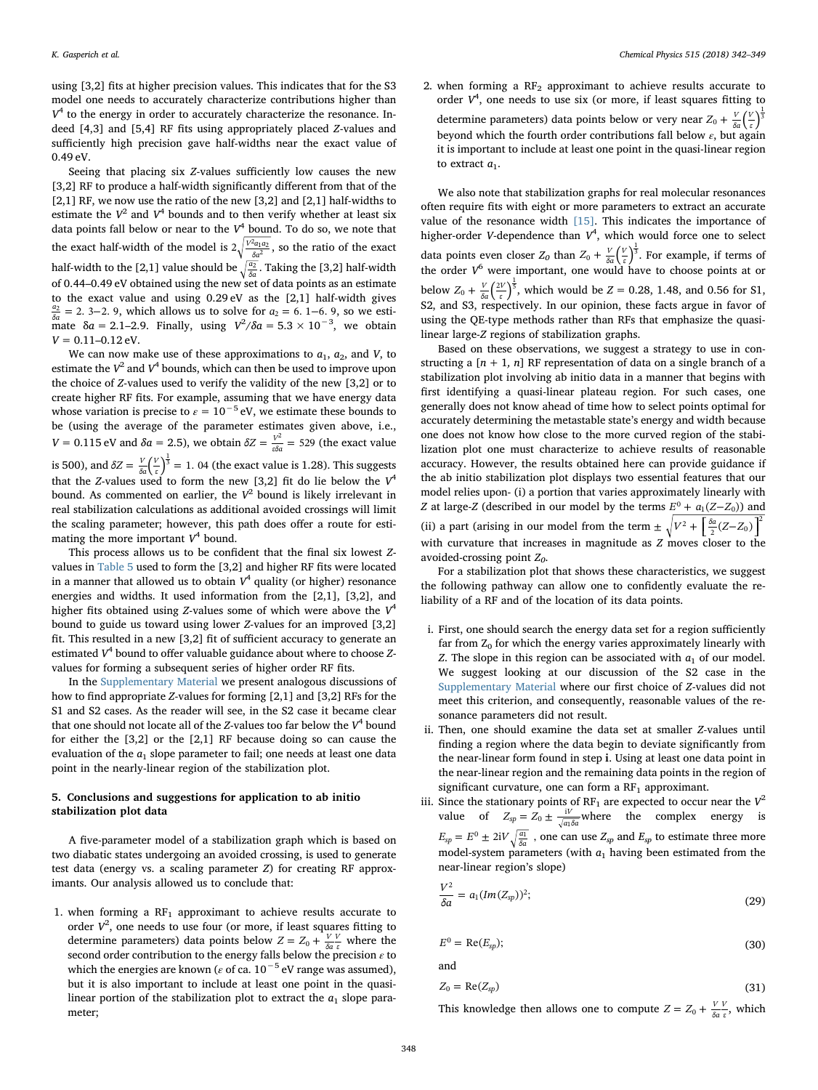using [3,2] fits at higher precision values. This indicates that for the S3 model one needs to accurately characterize contributions higher than  $V<sup>4</sup>$  to the energy in order to accurately characterize the resonance. Indeed [4,3] and [5,4] RF fits using appropriately placed Z-values and sufficiently high precision gave half-widths near the exact value of 0.49 eV.

Seeing that placing six Z-values sufficiently low causes the new [3,2] RF to produce a half-width significantly different from that of the [2,1] RF, we now use the ratio of the new [3,2] and [2,1] half-widths to estimate the  $V^2$  and  $V^4$  bounds and to then verify whether at least six data points fall below or near to the  $V^4$  bound. To do so, we note that the exact half-width of the model is  $2\sqrt{\frac{V^2 a_1 a_2}{\delta a^2}}$ , so the ratio of the exact half-width to the [2,1] value should be  $\sqrt{\frac{a_2}{\delta a}}$ . Taking the [3,2] half-width of 0.44–0.49 eV obtained using the new set of data points as an estimate to the exact value and using 0.29 eV as the [2,1] half-width gives  $\frac{a_2}{\delta a}$  = 2. 3–2. 9, which allows us to solve for  $a_2$  = 6. 1–6. 9, so we esti- $\delta a$  = 2.1–2.9. Finally, using  $V^2/\delta a = 5.3 \times 10^{-3}$ , we obtain  $V = 0.11 - 0.12$  eV.

We can now make use of these approximations to  $a_1$ ,  $a_2$ , and V, to estimate the  $V^2$  and  $V^4$  bounds, which can then be used to improve upon the choice of Z-values used to verify the validity of the new [3,2] or to create higher RF fits. For example, assuming that we have energy data whose variation is precise to  $\varepsilon = 10^{-5}$  eV, we estimate these bounds to be (using the average of the parameter estimates given above, i.e.,  $V = 0.115$  eV and  $\delta a = 2.5$ ), we obtain  $\delta Z = \frac{V^2}{\epsilon \delta a} = 529$  $\frac{a}{b}$  = 529 (the exact value is 500), and  $\delta Z = \frac{V}{\delta a} \left( \frac{V}{\varepsilon} \right)^{\frac{1}{3}} = 1.04$  $\frac{1}{3}$  = 1. 04 (the exact value is 1.28). This suggests that the Z-values used to form the new [3,2] fit do lie below the  $V^4$ bound. As commented on earlier, the  $V^2$  bound is likely irrelevant in real stabilization calculations as additional avoided crossings will limit the scaling parameter; however, this path does offer a route for estimating the more important  $V^4$  bound.

This process allows us to be confident that the final six lowest Zvalues in [Table 5](#page-5-2) used to form the [3,2] and higher RF fits were located in a manner that allowed us to obtain  $V^4$  quality (or higher) resonance energies and widths. It used information from the [2,1], [3,2], and higher fits obtained using Z-values some of which were above the  $V^4$ bound to guide us toward using lower Z-values for an improved [3,2] fit. This resulted in a new [3,2] fit of sufficient accuracy to generate an estimated  $V^4$  bound to offer valuable guidance about where to choose Zvalues for forming a subsequent series of higher order RF fits.

In the Supplementary Material we present analogous discussions of how to find appropriate Z-values for forming [2,1] and [3,2] RFs for the S1 and S2 cases. As the reader will see, in the S2 case it became clear that one should not locate all of the Z-values too far below the  $V^4$  bound for either the [3,2] or the [2,1] RF because doing so can cause the evaluation of the  $a_1$  slope parameter to fail; one needs at least one data point in the nearly-linear region of the stabilization plot.

# 5. Conclusions and suggestions for application to ab initio stabilization plot data

A five-parameter model of a stabilization graph which is based on two diabatic states undergoing an avoided crossing, is used to generate test data (energy vs. a scaling parameter Z) for creating RF approximants. Our analysis allowed us to conclude that:

1. when forming a  $RF_1$  approximant to achieve results accurate to order  $V^2$ , one needs to use four (or more, if least squares fitting to determine parameters) data points below  $Z = Z_0 + \frac{V V}{\delta a \epsilon}$  where the second order contribution to the energy falls below the precision  $\varepsilon$  to which the energies are known ( $\varepsilon$  of ca. 10<sup>-5</sup> eV range was assumed), but it is also important to include at least one point in the quasilinear portion of the stabilization plot to extract the  $a_1$  slope parameter;

2. when forming a  $RF_2$  approximant to achieve results accurate to order  $V^4$ , one needs to use six (or more, if least squares fitting to determine parameters) data points below or very near  $Z_0 + \frac{V}{\delta a} \left( \frac{V}{\varepsilon} \right)$ 1 3 beyond which the fourth order contributions fall below  $\varepsilon$ , but again it is important to include at least one point in the quasi-linear region to extract  $a_1$ .

We also note that stabilization graphs for real molecular resonances often require fits with eight or more parameters to extract an accurate value of the resonance width [\[15\]](#page-7-12). This indicates the importance of higher-order V-dependence than  $V^4$ , which would force one to select data points even closer  $Z_0$  than  $Z_0 + \frac{V}{\delta a} \left(\frac{V}{\varepsilon}\right)$  $\frac{1}{3}$ . For example, if terms of the order  $V^6$  were important, one would have to choose points at or below  $Z_0 + \frac{V}{\delta a} \left(\frac{2V}{\varepsilon}\right)^{\frac{1}{5}}$ , which would be  $Z = 0.28$ , 1.48, and 0.56 for S1, S2, and S3, respectively. In our opinion, these facts argue in favor of using the QE-type methods rather than RFs that emphasize the quasilinear large-Z regions of stabilization graphs.

Based on these observations, we suggest a strategy to use in constructing a  $[n + 1, n]$  RF representation of data on a single branch of a stabilization plot involving ab initio data in a manner that begins with first identifying a quasi-linear plateau region. For such cases, one generally does not know ahead of time how to select points optimal for accurately determining the metastable state's energy and width because one does not know how close to the more curved region of the stabilization plot one must characterize to achieve results of reasonable accuracy. However, the results obtained here can provide guidance if the ab initio stabilization plot displays two essential features that our model relies upon- (i) a portion that varies approximately linearly with Z at large-Z (described in our model by the terms  $E^0 + a_1(Z - Z_0)$ ) and (ii) a part (arising in our model from the term  $\pm \sqrt{V^2 + \left[\frac{\delta a}{2}(Z - Z_0)\right]^2}$ with curvature that increases in magnitude as Z moves closer to the avoided-crossing point  $Z_0$ .

For a stabilization plot that shows these characteristics, we suggest the following pathway can allow one to confidently evaluate the reliability of a RF and of the location of its data points.

- i. First, one should search the energy data set for a region sufficiently far from  $Z_0$  for which the energy varies approximately linearly with Z. The slope in this region can be associated with  $a_1$  of our model. We suggest looking at our discussion of the S2 case in the Supplementary Material where our first choice of Z-values did not meet this criterion, and consequently, reasonable values of the resonance parameters did not result.
- ii. Then, one should examine the data set at smaller Z-values until finding a region where the data begin to deviate significantly from the near-linear form found in step i. Using at least one data point in the near-linear region and the remaining data points in the region of significant curvature, one can form a  $RF<sub>1</sub>$  approximant.
- iii. Since the stationary points of  $RF_1$  are expected to occur near the  $V^2$ value of  $Z_{sp} = Z_0 \pm \frac{W}{\sqrt{a_1 \delta a}}$  where the complex energy is  $E_{sp} = E^0 \pm 2iV \sqrt{\frac{a_1}{\delta a}}$  , one can use  $Z_{sp}$  and  $E_{sp}$  to estimate three more model-system parameters (with  $a_1$  having been estimated from the near-linear region's slope)

$$
\frac{V^2}{\delta a} = a_1 (Im(Z_{sp}))^2; \tag{29}
$$

$$
E^0 = \text{Re}(E_{sp});\tag{30}
$$

and

$$
Z_0 = \text{Re}(Z_{sp}) \tag{31}
$$

This knowledge then allows one to compute  $Z = Z_0 + \frac{V V}{\delta a \epsilon}$ , which